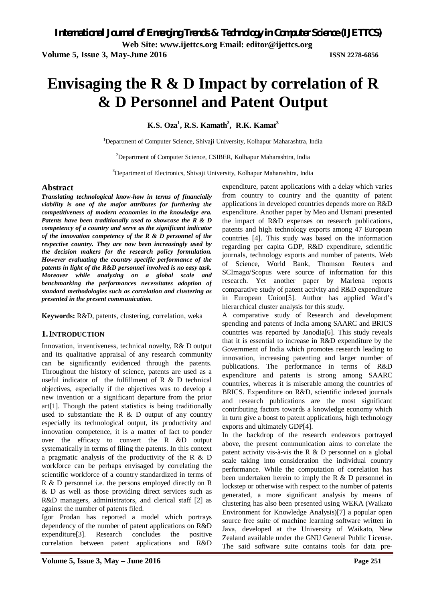**Volume 5, Issue 3, May-June 2016 ISSN 2278-6856**

# **Envisaging the R & D Impact by correlation of R & D Personnel and Patent Output**

**K.S. Oza<sup>1</sup> , R.S. Kamath<sup>2</sup> , R.K. Kamat<sup>3</sup>**

<sup>1</sup>Department of Computer Science, Shivaji University, Kolhapur Maharashtra, India

<sup>2</sup>Department of Computer Science, CSIBER, Kolhapur Maharashtra, India

<sup>3</sup>Department of Electronics, Shivaji University, Kolhapur Maharashtra, India

#### **Abstract**

*Translating technological know-how in terms of financially viability is one of the major attributes for furthering the competitiveness of modern economies in the knowledge era. Patents have been traditionally used to showcase the R & D competency of a country and serve as the significant indicator of the innovation competency of the R & D personnel of the respective country. They are now been increasingly used by the decision makers for the research policy formulation. However evaluating the country specific performance of the patents in light of the R&D personnel involved is no easy task. Moreover while analyzing on a global scale and benchmarking the performances necessitates adoption of standard methodologies such as correlation and clustering as presented in the present communication.*

**Keywords:** R&D, patents, clustering, correlation, weka

### **1.INTRODUCTION**

Innovation, inventiveness, technical novelty, R& D output and its qualitative appraisal of any research community can be significantly evidenced through the patents. Throughout the history of science, patents are used as a useful indicator of the fulfillment of R & D technical objectives, especially if the objectives was to develop a new invention or a significant departure from the prior art[1]. Though the patent statistics is being traditionally used to substantiate the R  $\&$  D output of any country especially its technological output, its productivity and innovation competence, it is a matter of fact to ponder over the efficacy to convert the R &D output systematically in terms of filing the patents. In this context a pragmatic analysis of the productivity of the R & D workforce can be perhaps envisaged by correlating the scientific workforce of a country standardized in terms of R & D personnel i.e. the persons employed directly on R & D as well as those providing direct services such as R&D managers, administrators, and clerical staff [2] as against the number of patents filed.

Igor Prodan has reported a model which portrays dependency of the number of patent applications on R&D expenditure[3]. Research concludes the positive correlation between patent applications and R&D

expenditure, patent applications with a delay which varies from country to country and the quantity of patent applications in developed countries depends more on R&D expenditure. Another paper by Meo and Usmani presented the impact of R&D expenses on research publications, patents and high technology exports among 47 European countries [4]. This study was based on the information regarding per capita GDP, R&D expenditure, scientific journals, technology exports and number of patents. Web of Science, World Bank, Thomson Reuters and SCImago/Scopus were source of information for this research. Yet another paper by Marlena reports comparative study of patent activity and R&D expenditure in European Union[5]. Author has applied Ward's hierarchical cluster analysis for this study.

A comparative study of Research and development spending and patents of India among SAARC and BRICS countries was reported by Janodia[6]. This study reveals that it is essential to increase in R&D expenditure by the Government of India which promotes research leading to innovation, increasing patenting and larger number of publications. The performance in terms of R&D expenditure and patents is strong among SAARC countries, whereas it is miserable among the countries of BRICS. Expenditure on R&D, scientific indexed journals and research publications are the most significant contributing factors towards a knowledge economy which in turn give a boost to patent applications, high technology exports and ultimately GDP[4].

In the backdrop of the research endeavors portrayed above, the present communication aims to correlate the patent activity vis-à-vis the R  $&$  D personnel on a global scale taking into consideration the individual country performance. While the computation of correlation has been undertaken herein to imply the R & D personnel in lockstep or otherwise with respect to the number of patents generated, a more significant analysis by means of clustering has also been presented using WEKA (Waikato Environment for Knowledge Analysis)[7] a popular open source free suite of machine learning software written in Java, developed at the University of Waikato, New Zealand available under the GNU General Public License. The said software suite contains tools for data pre-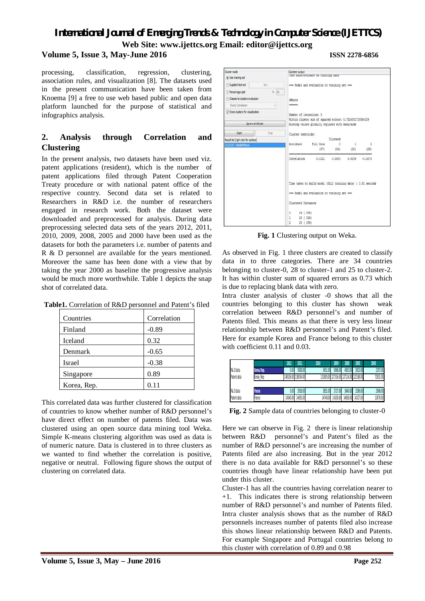# *International Journal of Emerging Trends & Technology in Computer Science (IJETTCS)* **Web Site: www.ijettcs.org Email: editor@ijettcs.org**

#### **Volume 5, Issue 3, May-June 2016 ISSN 2278-6856**

processing, classification, regression, clustering, association rules, and visualization [8]. The datasets used in the present communication have been taken from Knoema [9] a free to use web based public and open data platform launched for the purpose of statistical and infographics analysis.

#### **2. Analysis through Correlation and Clustering**

In the present analysis, two datasets have been used viz. patent applications (resident), which is the number of patent applications filed through Patent Cooperation Treaty procedure or with national patent office of the respective country. Second data set is related to Researchers in R&D i.e. the number of researchers engaged in research work. Both the dataset were downloaded and preprocessed for analysis. During data preprocessing selected data sets of the years 2012, 2011, 2010, 2009, 2008, 2005 and 2000 have been used as the datasets for both the parameters i.e. number of patents and R & D personnel are available for the years mentioned. Moreover the same has been done with a view that by taking the year 2000 as baseline the progressive analysis would be much more worthwhile. Table 1 depicts the snap shot of correlated data.

| Countries      | Correlation |
|----------------|-------------|
| Finland        | $-0.89$     |
| <b>Iceland</b> | 0.32        |
| Denmark        | $-0.65$     |
| Israel         | $-0.38$     |
| Singapore      | 0.89        |
| Korea, Rep.    | 0.11        |

This correlated data was further clustered for classification of countries to know whether number of R&D personnel's have direct effect on number of patents filed. Data was clustered using an open source data mining tool Weka. Simple K-means clustering algorithm was used as data is of numeric nature. Data is clustered in to three clusters as we wanted to find whether the correlation is positive, negative or neutral. Following figure shows the output of clustering on correlated data.



**Fig. 1** Clustering output on Weka.

As observed in Fig. 1 three clusters are created to classify data in to three categories. There are 34 countries belonging to cluster-0, 28 to cluster-1 and 25 to cluster-2. It has within cluster sum of squared errors as 0.73 which is due to replacing blank data with zero.

Intra cluster analysis of cluster -0 shows that all the countries belonging to this cluster has shown weak correlation between R&D personnel's and number of Patents filed. This means as that there is very less linear relationship between R&D personnel's and Patent's filed. Here for example Korea and France belong to this cluster with coefficient 0.11 and 0.03.

|             |             | 2012     | 2011                | 2010     | 2009     | 2008     | 2005                                    | 2000     |
|-------------|-------------|----------|---------------------|----------|----------|----------|-----------------------------------------|----------|
| R&D data    | Korea, Rep. | 0.00     | 5928.00             | 5451.00  | 5068.00  | 4933.00  | 3823.00                                 | 2357.00  |
| Patent data | Korea_Rep   |          | 148136.00 138034.00 |          |          |          | 131805.00 127316.00 127114.00 122188.00 | 72831.00 |
|             |             |          |                     |          |          |          |                                         |          |
| R&D data    | France      | 0.00     | 3918.00             | 3851.00  | 3727.00  | 3640.00  | 3296.00                                 | 2906.00  |
| Patent data | France      | 14540.00 | 14655.00            | 14748.00 | 14100.00 | 14658.00 | 14327.00                                | 13870.00 |

**Fig. 2** Sample data of countries belonging to cluster-0

Here we can observe in Fig. 2 there is linear relationship between R&D personnel's and Patent's filed as the number of R&D personnel's are increasing the number of Patents filed are also increasing. But in the year 2012 there is no data available for R&D personnel's so these countries though have linear relationship have been put under this cluster.

Cluster-1 has all the countries having correlation nearer to +1. This indicates there is strong relationship between number of R&D personnel's and number of Patents filed. Intra cluster analysis shows that as the number of R&D personnels increases number of patents filed also increase this shows linear relationship between R&D and Patents. For example Singapore and Portugal countries belong to this cluster with correlation of 0.89 and 0.98